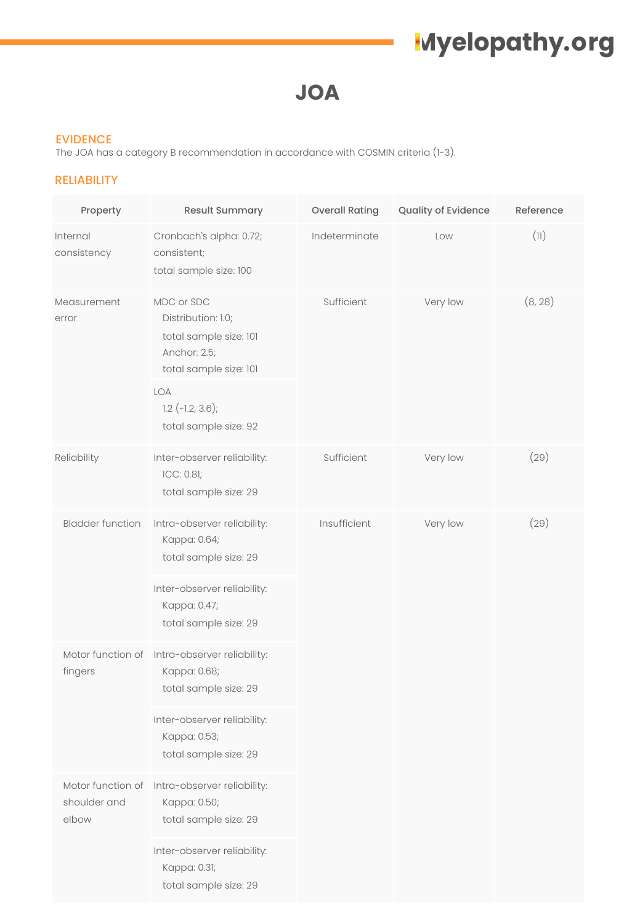**JOA**

#### EVIDENCE

The JOA has a category B recommendation in accordance with COSMIN criteria (1-3).

#### RELIABILITY

| Property                                   | <b>Result Summary</b>                                                                                | <b>Overall Rating</b> | Quality of Evidence | Reference |
|--------------------------------------------|------------------------------------------------------------------------------------------------------|-----------------------|---------------------|-----------|
| Internal<br>consistency                    | Cronbach's alpha: 0.72;<br>consistent;<br>total sample size: 100                                     | Indeterminate         | Low                 | (11)      |
| Measurement<br>error                       | MDC or SDC<br>Distribution: 1.0;<br>total sample size: 101<br>Anchor: 2.5;<br>total sample size: 101 | Sufficient            | Very low            | (8, 28)   |
|                                            | LOA<br>$1.2$ (-1.2, 3.6);<br>total sample size: 92                                                   |                       |                     |           |
| Reliability                                | Inter-observer reliability:<br>ICC: 0.81;<br>total sample size: 29                                   | Sufficient            | Very low            | (29)      |
| <b>Bladder function</b>                    | Intra-observer reliability:<br>Kappa: 0.64;<br>total sample size: 29                                 | Insufficient          | Very low            | (29)      |
|                                            | Inter-observer reliability:<br>Kappa: 0.47;<br>total sample size: 29                                 |                       |                     |           |
| fingers                                    | Motor function of Intra-observer reliability:<br>Kappa: 0.68;<br>total sample size: 29               |                       |                     |           |
|                                            | Inter-observer reliability:<br>Kappa: 0.53;<br>total sample size: 29                                 |                       |                     |           |
| Motor function of<br>shoulder and<br>elbow | Intra-observer reliability:<br>Kappa: 0.50;<br>total sample size: 29                                 |                       |                     |           |
|                                            | Inter-observer reliability:<br>Kappa: 0.31;<br>total sample size: 29                                 |                       |                     |           |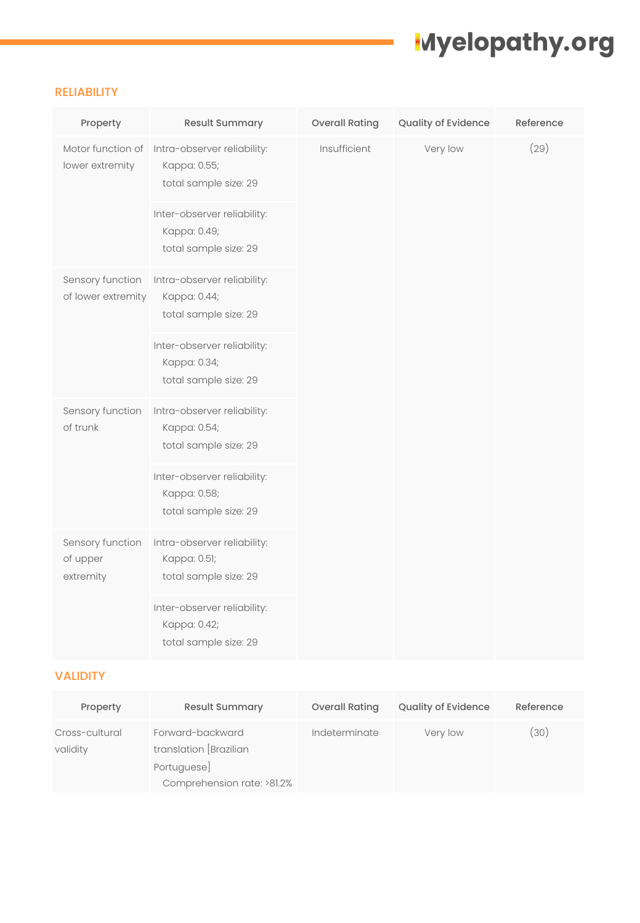#### RELIABILITY

| Property                                  | Result Summary                                                       | <b>Overall Rating</b> | Quality of Evidence | Reference |
|-------------------------------------------|----------------------------------------------------------------------|-----------------------|---------------------|-----------|
| Motor function of<br>lower extremity      | Intra-observer reliability:<br>Kappa: 0.55;<br>total sample size: 29 | Insufficient          | Very low            | (29)      |
|                                           | Inter-observer reliability:<br>Kappa: 0.49;<br>total sample size: 29 |                       |                     |           |
| Sensory function<br>of lower extremity    | Intra-observer reliability:<br>Kappa: 0.44;<br>total sample size: 29 |                       |                     |           |
|                                           | Inter-observer reliability:<br>Kappa: 0.34;<br>total sample size: 29 |                       |                     |           |
| Sensory function<br>of trunk              | Intra-observer reliability:<br>Kappa: 0.54;<br>total sample size: 29 |                       |                     |           |
|                                           | Inter-observer reliability:<br>Kappa: 0.58;<br>total sample size: 29 |                       |                     |           |
| Sensory function<br>of upper<br>extremity | Intra-observer reliability:<br>Kappa: 0.51;<br>total sample size: 29 |                       |                     |           |
|                                           | Inter-observer reliability:<br>Kappa: 0.42;<br>total sample size: 29 |                       |                     |           |

## VALIDITY

| Property                   | <b>Result Summary</b>                                                                  | Overall Rating | <b>Quality of Evidence</b> | Reference |
|----------------------------|----------------------------------------------------------------------------------------|----------------|----------------------------|-----------|
| Cross-cultural<br>validity | Forward-backward<br>translation [Brazilian<br>Portuguese<br>Comprehension rate: >81.2% | Indeterminate  | Very low                   | (30)      |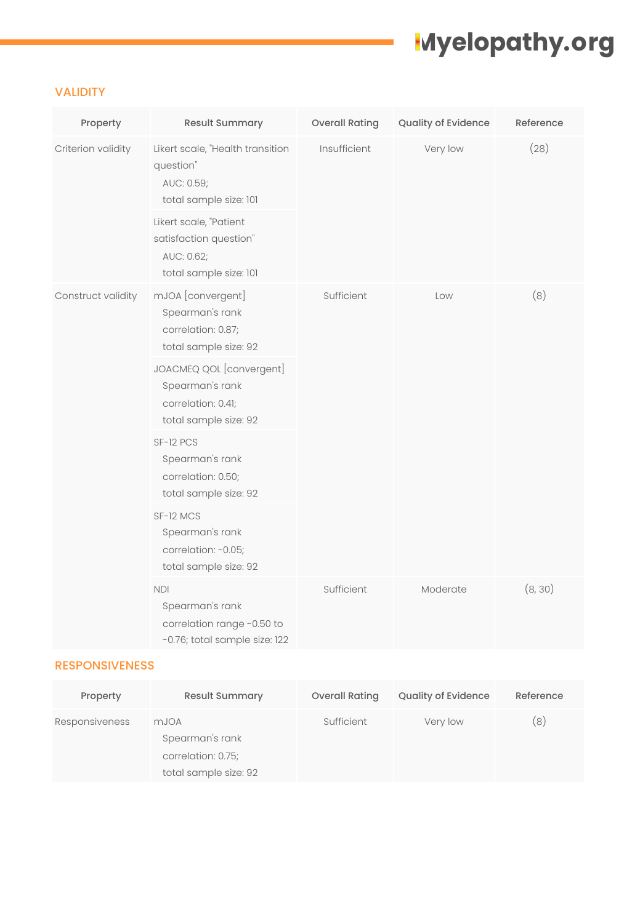### VALIDITY

| Property           | <b>Result Summary</b>                                                                                                                                                             | <b>Overall Rating</b> | Quality of Evidence | Reference |
|--------------------|-----------------------------------------------------------------------------------------------------------------------------------------------------------------------------------|-----------------------|---------------------|-----------|
| Criterion validity | Likert scale, "Health transition<br>question"<br>AUC: 0.59;<br>total sample size: 101<br>Likert scale, "Patient<br>satisfaction question"<br>AUC: 0.62;<br>total sample size: 101 | Insufficient          | Very low            | (28)      |
| Construct validity | mJOA [convergent]<br>Spearman's rank<br>correlation: 0.87;<br>total sample size: 92<br>JOACMEQ QOL [convergent]                                                                   | Sufficient            | Low                 | (8)       |
|                    | Spearman's rank<br>correlation: 0.41;<br>total sample size: 92                                                                                                                    |                       |                     |           |
|                    | SF-12 PCS<br>Spearman's rank<br>correlation: 0.50;<br>total sample size: 92                                                                                                       |                       |                     |           |
|                    | SF-12 MCS<br>Spearman's rank<br>correlation: -0.05;<br>total sample size: 92                                                                                                      |                       |                     |           |
|                    | <b>NDI</b><br>Spearman's rank<br>correlation range -0.50 to<br>-0.76; total sample size: 122                                                                                      | Sufficient            | Moderate            | (8, 30)   |

### RESPONSIVENESS

| Property       | <b>Result Summary</b>                                                  | <b>Overall Rating</b> | <b>Quality of Evidence</b> | Reference |
|----------------|------------------------------------------------------------------------|-----------------------|----------------------------|-----------|
| Responsiveness | mJOA<br>Spearman's rank<br>correlation: 0.75;<br>total sample size: 92 | Sufficient            | Very low                   | 8)        |